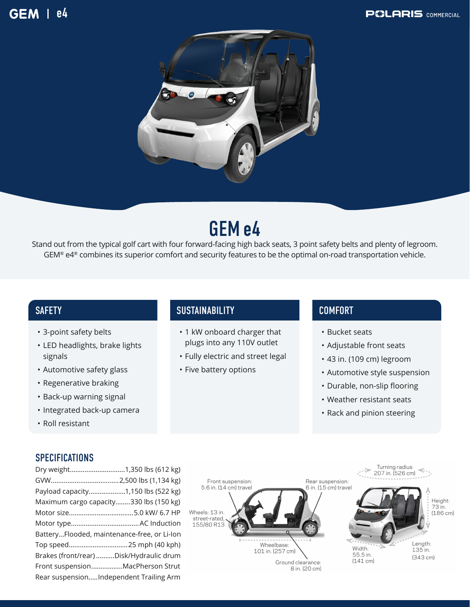#### **GEM** l e4





# GEMe4

Stand out from the typical golf cart with four forward-facing high back seats, 3 point safety belts and plenty of legroom. GEM® e4® combines its superior comfort and security features to be the optimal on-road transportation vehicle.

- 3-point safety belts
- LED headlights, brake lights signals
- Automotive safety glass
- Regenerative braking
- Back-up warning signal
- Integrated back-up camera
- Roll resistant

#### **SPECIFICATIONS**

| Dry weight1,350 lbs (612 kg)                |  |
|---------------------------------------------|--|
|                                             |  |
| Payload capacity1,150 lbs (522 kg)          |  |
| Maximum cargo capacity330 lbs (150 kg)      |  |
| Motor size5.0 kW/ 6.7 HP                    |  |
|                                             |  |
| BatteryFlooded, maintenance-free, or Li-Ion |  |
| Top speed25 mph (40 kph)                    |  |
| Brakes (front/rear) Disk/Hydraulic drum     |  |
| Front suspensionMacPherson Strut            |  |
| Rear suspensionIndependent Trailing Arm     |  |
|                                             |  |

#### SAFETY SUSTAINABILITY

- 1 kW onboard charger that plugs into any 110V outlet
- Fully electric and street legal
- Five battery options

### COMFORT

- Bucket seats
- Adjustable front seats
- 43 in. (109 cm) legroom
- Automotive style suspension
- Durable, non-slip flooring
- Weather resistant seats
- Rack and pinion steering